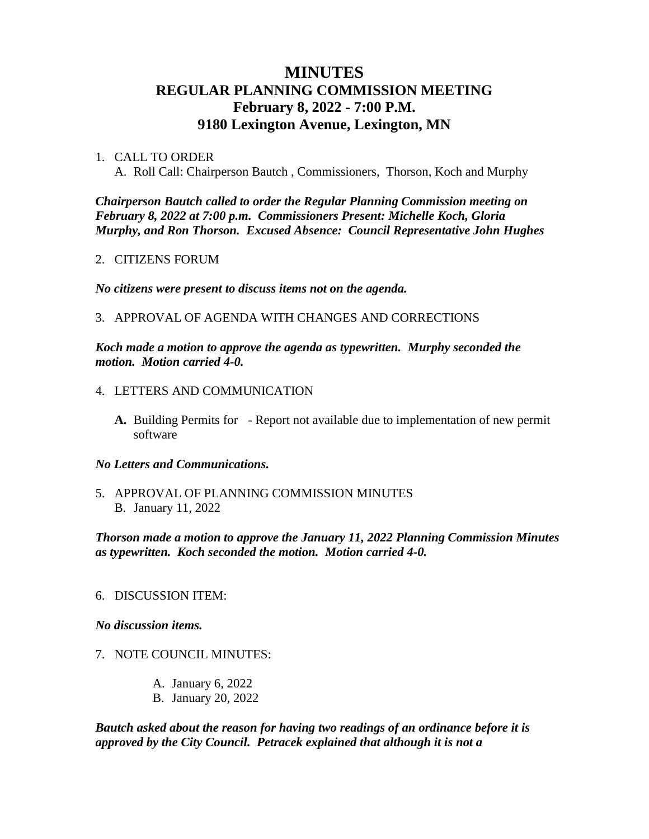# **MINUTES REGULAR PLANNING COMMISSION MEETING February 8, 2022 - 7:00 P.M. 9180 Lexington Avenue, Lexington, MN**

# 1. CALL TO ORDER

A. Roll Call: Chairperson Bautch , Commissioners, Thorson, Koch and Murphy

*Chairperson Bautch called to order the Regular Planning Commission meeting on February 8, 2022 at 7:00 p.m. Commissioners Present: Michelle Koch, Gloria Murphy, and Ron Thorson. Excused Absence: Council Representative John Hughes*

### 2. CITIZENS FORUM

*No citizens were present to discuss items not on the agenda.*

# 3. APPROVAL OF AGENDA WITH CHANGES AND CORRECTIONS

*Koch made a motion to approve the agenda as typewritten. Murphy seconded the motion. Motion carried 4-0.*

- 4. LETTERS AND COMMUNICATION
	- **A.** Building Permits for Report not available due to implementation of new permit software

#### *No Letters and Communications.*

5. APPROVAL OF PLANNING COMMISSION MINUTES B. January 11, 2022

*Thorson made a motion to approve the January 11, 2022 Planning Commission Minutes as typewritten. Koch seconded the motion. Motion carried 4-0.*

#### 6. DISCUSSION ITEM:

#### *No discussion items.*

# 7. NOTE COUNCIL MINUTES:

- A. January 6, 2022
- B. January 20, 2022

*Bautch asked about the reason for having two readings of an ordinance before it is approved by the City Council. Petracek explained that although it is not a*